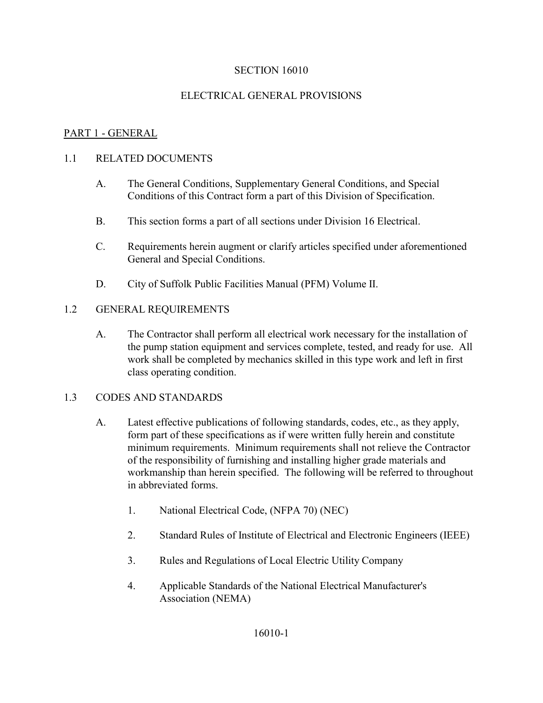## ELECTRICAL GENERAL PROVISIONS

## PART 1 - GENERAL

#### 1.1 RELATED DOCUMENTS

- A. The General Conditions, Supplementary General Conditions, and Special Conditions of this Contract form a part of this Division of Specification.
- B. This section forms a part of all sections under Division 16 Electrical.
- C. Requirements herein augment or clarify articles specified under aforementioned General and Special Conditions.
- D. City of Suffolk Public Facilities Manual (PFM) Volume II.

## 1.2 GENERAL REQUIREMENTS

A. The Contractor shall perform all electrical work necessary for the installation of the pump station equipment and services complete, tested, and ready for use. All work shall be completed by mechanics skilled in this type work and left in first class operating condition.

#### 1.3 CODES AND STANDARDS

- A. Latest effective publications of following standards, codes, etc., as they apply, form part of these specifications as if were written fully herein and constitute minimum requirements. Minimum requirements shall not relieve the Contractor of the responsibility of furnishing and installing higher grade materials and workmanship than herein specified. The following will be referred to throughout in abbreviated forms.
	- 1. National Electrical Code, (NFPA 70) (NEC)
	- 2. Standard Rules of Institute of Electrical and Electronic Engineers (IEEE)
	- 3. Rules and Regulations of Local Electric Utility Company
	- 4. Applicable Standards of the National Electrical Manufacturer's Association (NEMA)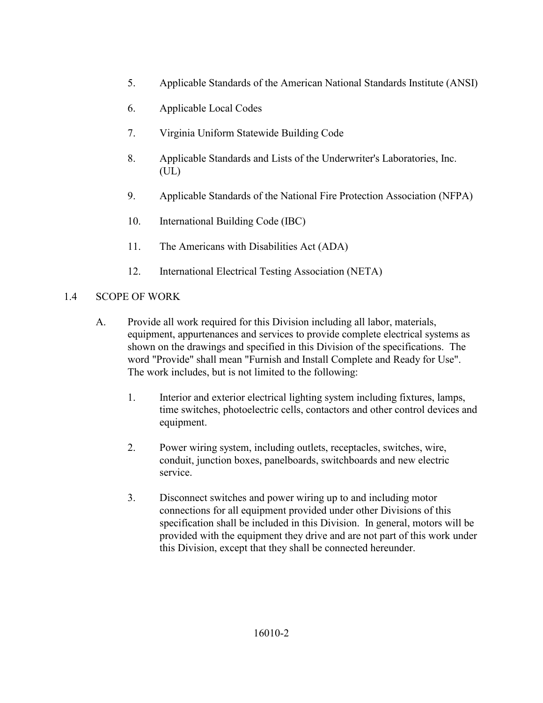- 5. Applicable Standards of the American National Standards Institute (ANSI)
- 6. Applicable Local Codes
- 7. Virginia Uniform Statewide Building Code
- 8. Applicable Standards and Lists of the Underwriter's Laboratories, Inc. (UL)
- 9. Applicable Standards of the National Fire Protection Association (NFPA)
- 10. International Building Code (IBC)
- 11. The Americans with Disabilities Act (ADA)
- 12. International Electrical Testing Association (NETA)

## 1.4 SCOPE OF WORK

- A. Provide all work required for this Division including all labor, materials, equipment, appurtenances and services to provide complete electrical systems as shown on the drawings and specified in this Division of the specifications. The word "Provide" shall mean "Furnish and Install Complete and Ready for Use". The work includes, but is not limited to the following:
	- 1. Interior and exterior electrical lighting system including fixtures, lamps, time switches, photoelectric cells, contactors and other control devices and equipment.
	- 2. Power wiring system, including outlets, receptacles, switches, wire, conduit, junction boxes, panelboards, switchboards and new electric service.
	- 3. Disconnect switches and power wiring up to and including motor connections for all equipment provided under other Divisions of this specification shall be included in this Division. In general, motors will be provided with the equipment they drive and are not part of this work under this Division, except that they shall be connected hereunder.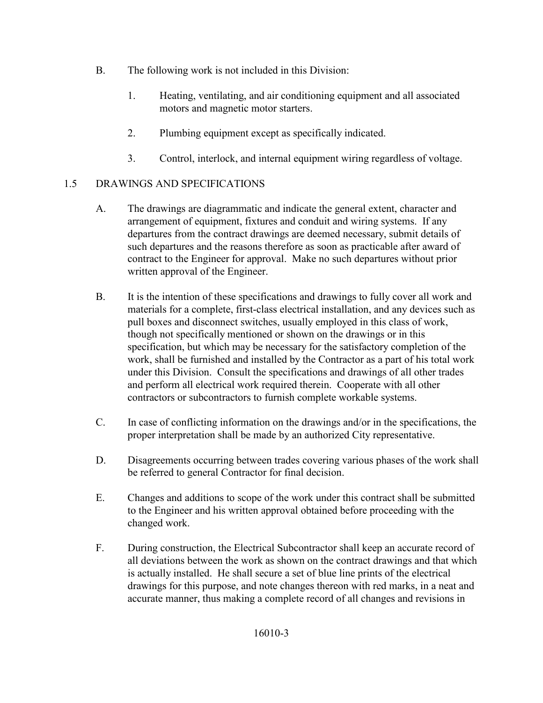- B. The following work is not included in this Division:
	- 1. Heating, ventilating, and air conditioning equipment and all associated motors and magnetic motor starters.
	- 2. Plumbing equipment except as specifically indicated.
	- 3. Control, interlock, and internal equipment wiring regardless of voltage.

# 1.5 DRAWINGS AND SPECIFICATIONS

- A. The drawings are diagrammatic and indicate the general extent, character and arrangement of equipment, fixtures and conduit and wiring systems. If any departures from the contract drawings are deemed necessary, submit details of such departures and the reasons therefore as soon as practicable after award of contract to the Engineer for approval. Make no such departures without prior written approval of the Engineer.
- B. It is the intention of these specifications and drawings to fully cover all work and materials for a complete, first-class electrical installation, and any devices such as pull boxes and disconnect switches, usually employed in this class of work, though not specifically mentioned or shown on the drawings or in this specification, but which may be necessary for the satisfactory completion of the work, shall be furnished and installed by the Contractor as a part of his total work under this Division. Consult the specifications and drawings of all other trades and perform all electrical work required therein. Cooperate with all other contractors or subcontractors to furnish complete workable systems.
- C. In case of conflicting information on the drawings and/or in the specifications, the proper interpretation shall be made by an authorized City representative.
- D. Disagreements occurring between trades covering various phases of the work shall be referred to general Contractor for final decision.
- E. Changes and additions to scope of the work under this contract shall be submitted to the Engineer and his written approval obtained before proceeding with the changed work.
- F. During construction, the Electrical Subcontractor shall keep an accurate record of all deviations between the work as shown on the contract drawings and that which is actually installed. He shall secure a set of blue line prints of the electrical drawings for this purpose, and note changes thereon with red marks, in a neat and accurate manner, thus making a complete record of all changes and revisions in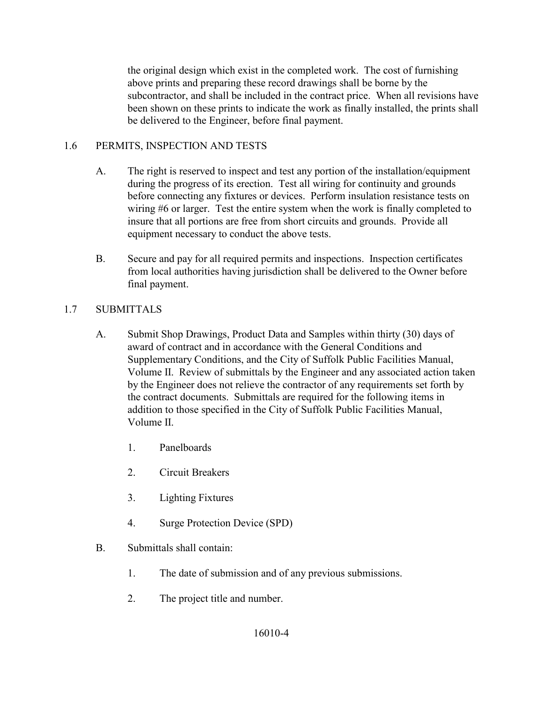the original design which exist in the completed work. The cost of furnishing above prints and preparing these record drawings shall be borne by the subcontractor, and shall be included in the contract price. When all revisions have been shown on these prints to indicate the work as finally installed, the prints shall be delivered to the Engineer, before final payment.

## 1.6 PERMITS, INSPECTION AND TESTS

- A. The right is reserved to inspect and test any portion of the installation/equipment during the progress of its erection. Test all wiring for continuity and grounds before connecting any fixtures or devices. Perform insulation resistance tests on wiring #6 or larger. Test the entire system when the work is finally completed to insure that all portions are free from short circuits and grounds. Provide all equipment necessary to conduct the above tests.
- B. Secure and pay for all required permits and inspections. Inspection certificates from local authorities having jurisdiction shall be delivered to the Owner before final payment.

## 1.7 SUBMITTALS

- A. Submit Shop Drawings, Product Data and Samples within thirty (30) days of award of contract and in accordance with the General Conditions and Supplementary Conditions, and the City of Suffolk Public Facilities Manual, Volume II. Review of submittals by the Engineer and any associated action taken by the Engineer does not relieve the contractor of any requirements set forth by the contract documents. Submittals are required for the following items in addition to those specified in the City of Suffolk Public Facilities Manual, Volume II.
	- 1. Panelboards
	- 2. Circuit Breakers
	- 3. Lighting Fixtures
	- 4. Surge Protection Device (SPD)
- B. Submittals shall contain:
	- 1. The date of submission and of any previous submissions.
	- 2. The project title and number.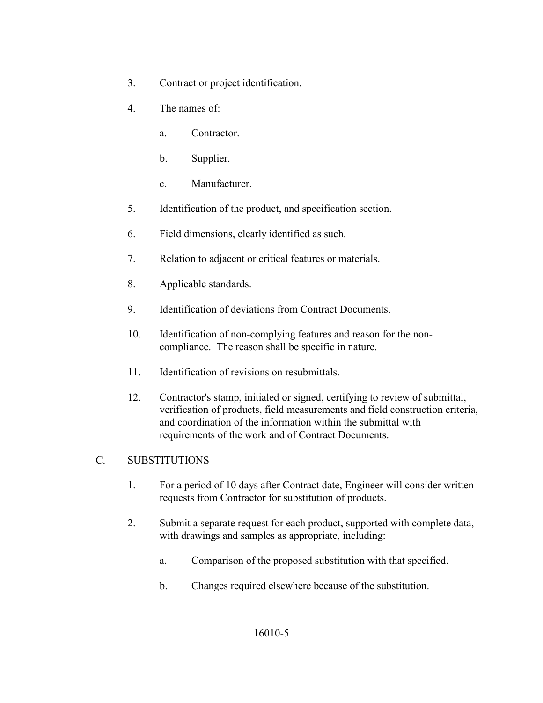- 3. Contract or project identification.
- 4. The names of:
	- a. Contractor.
	- b. Supplier.
	- c. Manufacturer.
- 5. Identification of the product, and specification section.
- 6. Field dimensions, clearly identified as such.
- 7. Relation to adjacent or critical features or materials.
- 8. Applicable standards.
- 9. Identification of deviations from Contract Documents.
- 10. Identification of non-complying features and reason for the noncompliance. The reason shall be specific in nature.
- 11. Identification of revisions on resubmittals.
- 12. Contractor's stamp, initialed or signed, certifying to review of submittal, verification of products, field measurements and field construction criteria, and coordination of the information within the submittal with requirements of the work and of Contract Documents.

### C. SUBSTITUTIONS

- 1. For a period of 10 days after Contract date, Engineer will consider written requests from Contractor for substitution of products.
- 2. Submit a separate request for each product, supported with complete data, with drawings and samples as appropriate, including:
	- a. Comparison of the proposed substitution with that specified.
	- b. Changes required elsewhere because of the substitution.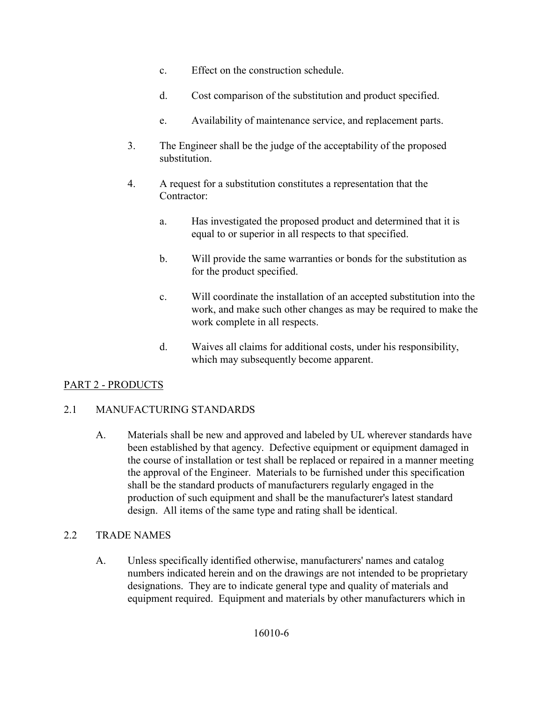- c. Effect on the construction schedule.
- d. Cost comparison of the substitution and product specified.
- e. Availability of maintenance service, and replacement parts.
- 3. The Engineer shall be the judge of the acceptability of the proposed substitution.
- 4. A request for a substitution constitutes a representation that the Contractor:
	- a. Has investigated the proposed product and determined that it is equal to or superior in all respects to that specified.
	- b. Will provide the same warranties or bonds for the substitution as for the product specified.
	- c. Will coordinate the installation of an accepted substitution into the work, and make such other changes as may be required to make the work complete in all respects.
	- d. Waives all claims for additional costs, under his responsibility, which may subsequently become apparent.

# PART 2 - PRODUCTS

## 2.1 MANUFACTURING STANDARDS

A. Materials shall be new and approved and labeled by UL wherever standards have been established by that agency. Defective equipment or equipment damaged in the course of installation or test shall be replaced or repaired in a manner meeting the approval of the Engineer. Materials to be furnished under this specification shall be the standard products of manufacturers regularly engaged in the production of such equipment and shall be the manufacturer's latest standard design. All items of the same type and rating shall be identical.

## 2.2 TRADE NAMES

A. Unless specifically identified otherwise, manufacturers' names and catalog numbers indicated herein and on the drawings are not intended to be proprietary designations. They are to indicate general type and quality of materials and equipment required. Equipment and materials by other manufacturers which in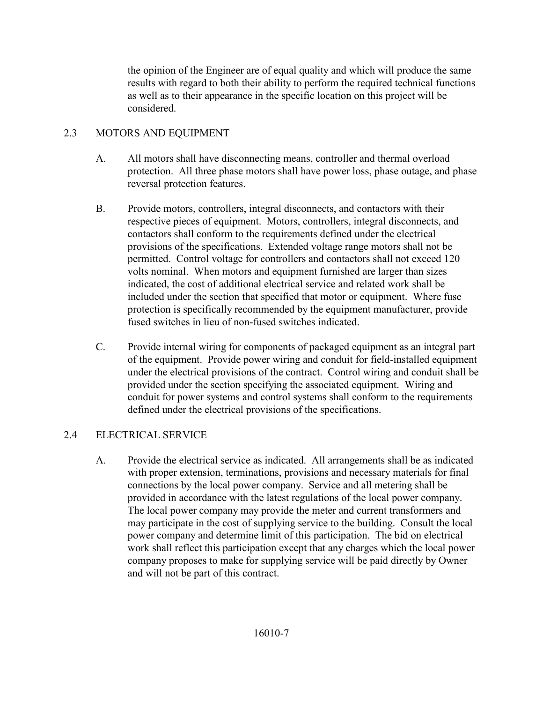the opinion of the Engineer are of equal quality and which will produce the same results with regard to both their ability to perform the required technical functions as well as to their appearance in the specific location on this project will be considered.

# 2.3 MOTORS AND EQUIPMENT

- A. All motors shall have disconnecting means, controller and thermal overload protection. All three phase motors shall have power loss, phase outage, and phase reversal protection features.
- B. Provide motors, controllers, integral disconnects, and contactors with their respective pieces of equipment. Motors, controllers, integral disconnects, and contactors shall conform to the requirements defined under the electrical provisions of the specifications. Extended voltage range motors shall not be permitted. Control voltage for controllers and contactors shall not exceed 120 volts nominal. When motors and equipment furnished are larger than sizes indicated, the cost of additional electrical service and related work shall be included under the section that specified that motor or equipment. Where fuse protection is specifically recommended by the equipment manufacturer, provide fused switches in lieu of non-fused switches indicated.
- C. Provide internal wiring for components of packaged equipment as an integral part of the equipment. Provide power wiring and conduit for field-installed equipment under the electrical provisions of the contract. Control wiring and conduit shall be provided under the section specifying the associated equipment. Wiring and conduit for power systems and control systems shall conform to the requirements defined under the electrical provisions of the specifications.

# 2.4 ELECTRICAL SERVICE

A. Provide the electrical service as indicated. All arrangements shall be as indicated with proper extension, terminations, provisions and necessary materials for final connections by the local power company. Service and all metering shall be provided in accordance with the latest regulations of the local power company. The local power company may provide the meter and current transformers and may participate in the cost of supplying service to the building. Consult the local power company and determine limit of this participation. The bid on electrical work shall reflect this participation except that any charges which the local power company proposes to make for supplying service will be paid directly by Owner and will not be part of this contract.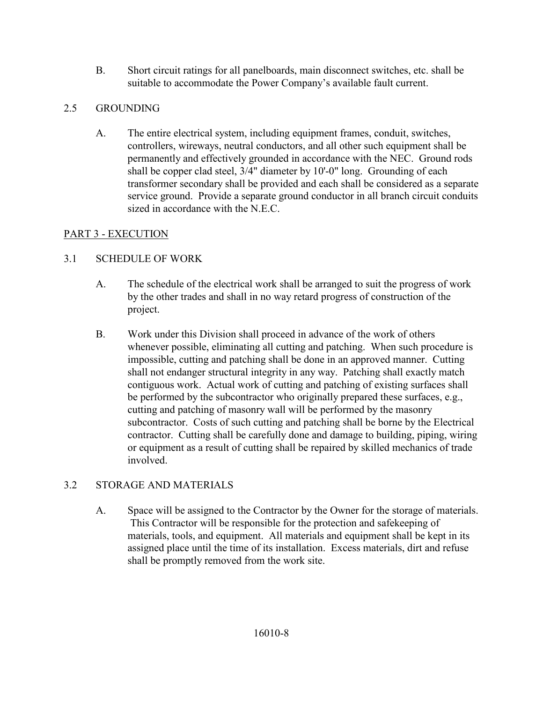B. Short circuit ratings for all panelboards, main disconnect switches, etc. shall be suitable to accommodate the Power Company's available fault current.

# 2.5 GROUNDING

A. The entire electrical system, including equipment frames, conduit, switches, controllers, wireways, neutral conductors, and all other such equipment shall be permanently and effectively grounded in accordance with the NEC. Ground rods shall be copper clad steel, 3/4" diameter by 10'-0" long. Grounding of each transformer secondary shall be provided and each shall be considered as a separate service ground. Provide a separate ground conductor in all branch circuit conduits sized in accordance with the N.E.C.

# PART 3 - EXECUTION

# 3.1 SCHEDULE OF WORK

- A. The schedule of the electrical work shall be arranged to suit the progress of work by the other trades and shall in no way retard progress of construction of the project.
- B. Work under this Division shall proceed in advance of the work of others whenever possible, eliminating all cutting and patching. When such procedure is impossible, cutting and patching shall be done in an approved manner. Cutting shall not endanger structural integrity in any way. Patching shall exactly match contiguous work. Actual work of cutting and patching of existing surfaces shall be performed by the subcontractor who originally prepared these surfaces, e.g., cutting and patching of masonry wall will be performed by the masonry subcontractor. Costs of such cutting and patching shall be borne by the Electrical contractor. Cutting shall be carefully done and damage to building, piping, wiring or equipment as a result of cutting shall be repaired by skilled mechanics of trade involved.

## 3.2 STORAGE AND MATERIALS

A. Space will be assigned to the Contractor by the Owner for the storage of materials. This Contractor will be responsible for the protection and safekeeping of materials, tools, and equipment. All materials and equipment shall be kept in its assigned place until the time of its installation. Excess materials, dirt and refuse shall be promptly removed from the work site.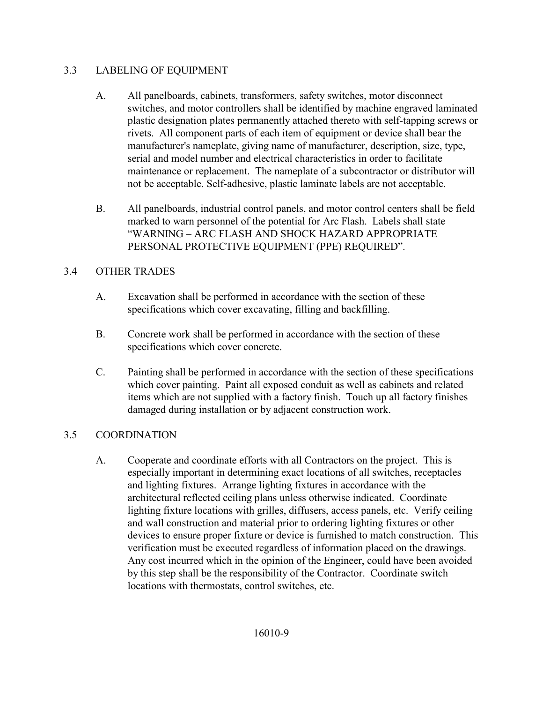## 3.3 LABELING OF EQUIPMENT

- A. All panelboards, cabinets, transformers, safety switches, motor disconnect switches, and motor controllers shall be identified by machine engraved laminated plastic designation plates permanently attached thereto with self-tapping screws or rivets. All component parts of each item of equipment or device shall bear the manufacturer's nameplate, giving name of manufacturer, description, size, type, serial and model number and electrical characteristics in order to facilitate maintenance or replacement. The nameplate of a subcontractor or distributor will not be acceptable. Self-adhesive, plastic laminate labels are not acceptable.
- B. All panelboards, industrial control panels, and motor control centers shall be field marked to warn personnel of the potential for Arc Flash. Labels shall state "WARNING – ARC FLASH AND SHOCK HAZARD APPROPRIATE PERSONAL PROTECTIVE EQUIPMENT (PPE) REQUIRED".

## 3.4 OTHER TRADES

- A. Excavation shall be performed in accordance with the section of these specifications which cover excavating, filling and backfilling.
- B. Concrete work shall be performed in accordance with the section of these specifications which cover concrete.
- C. Painting shall be performed in accordance with the section of these specifications which cover painting. Paint all exposed conduit as well as cabinets and related items which are not supplied with a factory finish. Touch up all factory finishes damaged during installation or by adjacent construction work.

## 3.5 COORDINATION

A. Cooperate and coordinate efforts with all Contractors on the project. This is especially important in determining exact locations of all switches, receptacles and lighting fixtures. Arrange lighting fixtures in accordance with the architectural reflected ceiling plans unless otherwise indicated. Coordinate lighting fixture locations with grilles, diffusers, access panels, etc. Verify ceiling and wall construction and material prior to ordering lighting fixtures or other devices to ensure proper fixture or device is furnished to match construction. This verification must be executed regardless of information placed on the drawings. Any cost incurred which in the opinion of the Engineer, could have been avoided by this step shall be the responsibility of the Contractor. Coordinate switch locations with thermostats, control switches, etc.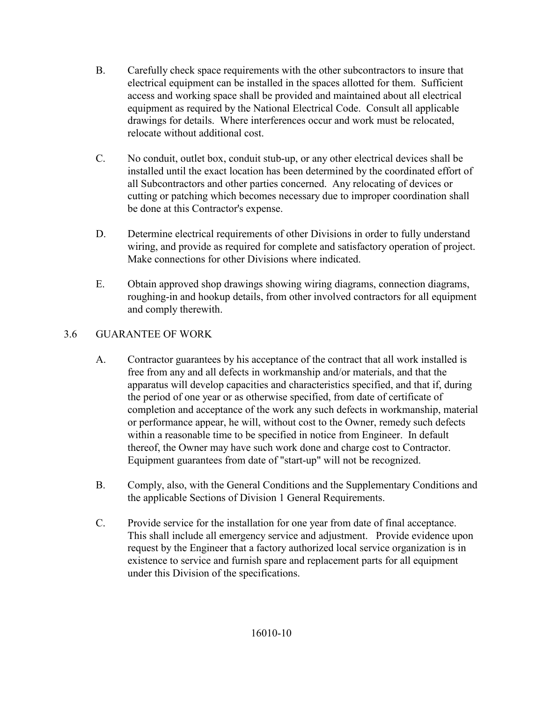- B. Carefully check space requirements with the other subcontractors to insure that electrical equipment can be installed in the spaces allotted for them. Sufficient access and working space shall be provided and maintained about all electrical equipment as required by the National Electrical Code. Consult all applicable drawings for details. Where interferences occur and work must be relocated, relocate without additional cost.
- C. No conduit, outlet box, conduit stub-up, or any other electrical devices shall be installed until the exact location has been determined by the coordinated effort of all Subcontractors and other parties concerned. Any relocating of devices or cutting or patching which becomes necessary due to improper coordination shall be done at this Contractor's expense.
- D. Determine electrical requirements of other Divisions in order to fully understand wiring, and provide as required for complete and satisfactory operation of project. Make connections for other Divisions where indicated.
- E. Obtain approved shop drawings showing wiring diagrams, connection diagrams, roughing-in and hookup details, from other involved contractors for all equipment and comply therewith.

# 3.6 GUARANTEE OF WORK

- A. Contractor guarantees by his acceptance of the contract that all work installed is free from any and all defects in workmanship and/or materials, and that the apparatus will develop capacities and characteristics specified, and that if, during the period of one year or as otherwise specified, from date of certificate of completion and acceptance of the work any such defects in workmanship, material or performance appear, he will, without cost to the Owner, remedy such defects within a reasonable time to be specified in notice from Engineer. In default thereof, the Owner may have such work done and charge cost to Contractor. Equipment guarantees from date of "start-up" will not be recognized.
- B. Comply, also, with the General Conditions and the Supplementary Conditions and the applicable Sections of Division 1 General Requirements.
- C. Provide service for the installation for one year from date of final acceptance. This shall include all emergency service and adjustment. Provide evidence upon request by the Engineer that a factory authorized local service organization is in existence to service and furnish spare and replacement parts for all equipment under this Division of the specifications.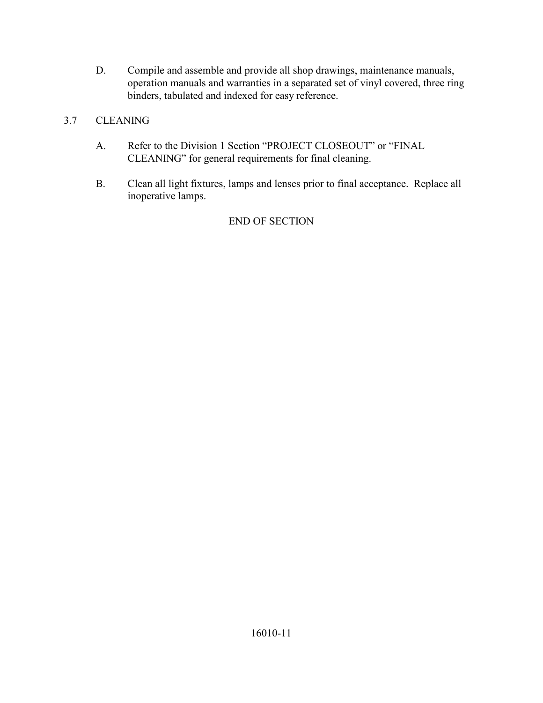D. Compile and assemble and provide all shop drawings, maintenance manuals, operation manuals and warranties in a separated set of vinyl covered, three ring binders, tabulated and indexed for easy reference.

# 3.7 CLEANING

- A. Refer to the Division 1 Section "PROJECT CLOSEOUT" or "FINAL CLEANING" for general requirements for final cleaning.
- B. Clean all light fixtures, lamps and lenses prior to final acceptance. Replace all inoperative lamps.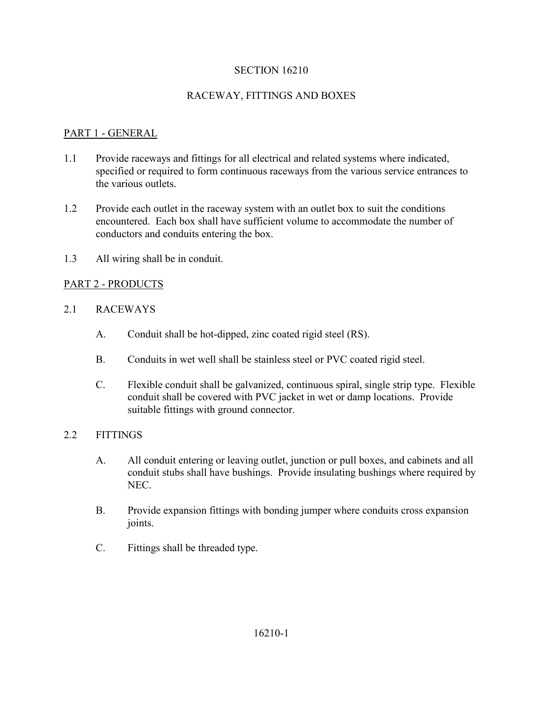## RACEWAY, FITTINGS AND BOXES

## PART 1 - GENERAL

- 1.1 Provide raceways and fittings for all electrical and related systems where indicated, specified or required to form continuous raceways from the various service entrances to the various outlets.
- 1.2 Provide each outlet in the raceway system with an outlet box to suit the conditions encountered. Each box shall have sufficient volume to accommodate the number of conductors and conduits entering the box.
- 1.3 All wiring shall be in conduit.

## PART 2 - PRODUCTS

## 2.1 RACEWAYS

- A. Conduit shall be hot-dipped, zinc coated rigid steel (RS).
- B. Conduits in wet well shall be stainless steel or PVC coated rigid steel.
- C. Flexible conduit shall be galvanized, continuous spiral, single strip type. Flexible conduit shall be covered with PVC jacket in wet or damp locations. Provide suitable fittings with ground connector.

#### 2.2 FITTINGS

- A. All conduit entering or leaving outlet, junction or pull boxes, and cabinets and all conduit stubs shall have bushings. Provide insulating bushings where required by NEC.
- B. Provide expansion fittings with bonding jumper where conduits cross expansion joints.
- C. Fittings shall be threaded type.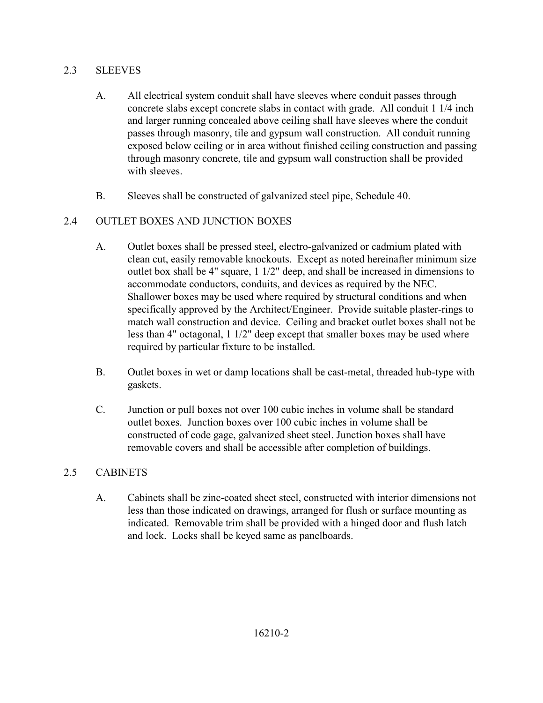## 2.3 SLEEVES

- A. All electrical system conduit shall have sleeves where conduit passes through concrete slabs except concrete slabs in contact with grade. All conduit 1 1/4 inch and larger running concealed above ceiling shall have sleeves where the conduit passes through masonry, tile and gypsum wall construction. All conduit running exposed below ceiling or in area without finished ceiling construction and passing through masonry concrete, tile and gypsum wall construction shall be provided with sleeves.
- B. Sleeves shall be constructed of galvanized steel pipe, Schedule 40.

# 2.4 OUTLET BOXES AND JUNCTION BOXES

- A. Outlet boxes shall be pressed steel, electro-galvanized or cadmium plated with clean cut, easily removable knockouts. Except as noted hereinafter minimum size outlet box shall be 4" square, 1 1/2" deep, and shall be increased in dimensions to accommodate conductors, conduits, and devices as required by the NEC. Shallower boxes may be used where required by structural conditions and when specifically approved by the Architect/Engineer. Provide suitable plaster-rings to match wall construction and device. Ceiling and bracket outlet boxes shall not be less than 4" octagonal, 1 1/2" deep except that smaller boxes may be used where required by particular fixture to be installed.
- B. Outlet boxes in wet or damp locations shall be cast-metal, threaded hub-type with gaskets.
- C. Junction or pull boxes not over 100 cubic inches in volume shall be standard outlet boxes. Junction boxes over 100 cubic inches in volume shall be constructed of code gage, galvanized sheet steel. Junction boxes shall have removable covers and shall be accessible after completion of buildings.

## 2.5 CABINETS

A. Cabinets shall be zinc-coated sheet steel, constructed with interior dimensions not less than those indicated on drawings, arranged for flush or surface mounting as indicated. Removable trim shall be provided with a hinged door and flush latch and lock. Locks shall be keyed same as panelboards.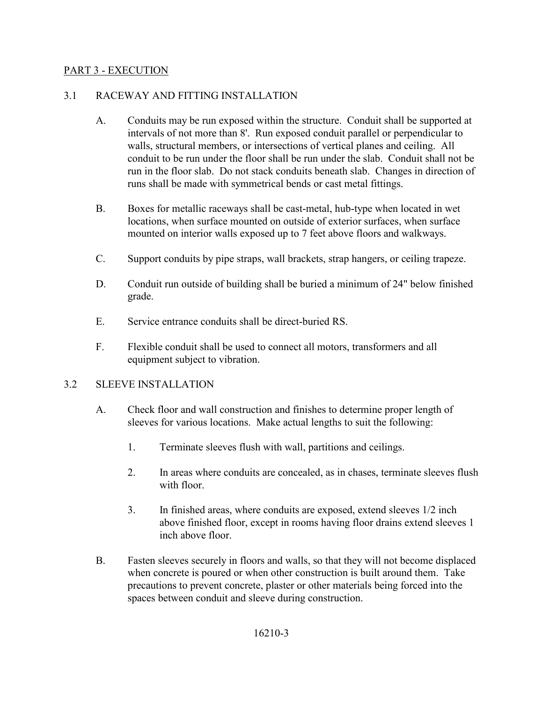#### PART 3 - EXECUTION

#### 3.1 RACEWAY AND FITTING INSTALLATION

- A. Conduits may be run exposed within the structure. Conduit shall be supported at intervals of not more than 8'. Run exposed conduit parallel or perpendicular to walls, structural members, or intersections of vertical planes and ceiling. All conduit to be run under the floor shall be run under the slab. Conduit shall not be run in the floor slab. Do not stack conduits beneath slab. Changes in direction of runs shall be made with symmetrical bends or cast metal fittings.
- B. Boxes for metallic raceways shall be cast-metal, hub-type when located in wet locations, when surface mounted on outside of exterior surfaces, when surface mounted on interior walls exposed up to 7 feet above floors and walkways.
- C. Support conduits by pipe straps, wall brackets, strap hangers, or ceiling trapeze.
- D. Conduit run outside of building shall be buried a minimum of 24" below finished grade.
- E. Service entrance conduits shall be direct-buried RS.
- F. Flexible conduit shall be used to connect all motors, transformers and all equipment subject to vibration.

#### 3.2 SLEEVE INSTALLATION

- A. Check floor and wall construction and finishes to determine proper length of sleeves for various locations. Make actual lengths to suit the following:
	- 1. Terminate sleeves flush with wall, partitions and ceilings.
	- 2. In areas where conduits are concealed, as in chases, terminate sleeves flush with floor.
	- 3. In finished areas, where conduits are exposed, extend sleeves 1/2 inch above finished floor, except in rooms having floor drains extend sleeves 1 inch above floor.
- B. Fasten sleeves securely in floors and walls, so that they will not become displaced when concrete is poured or when other construction is built around them. Take precautions to prevent concrete, plaster or other materials being forced into the spaces between conduit and sleeve during construction.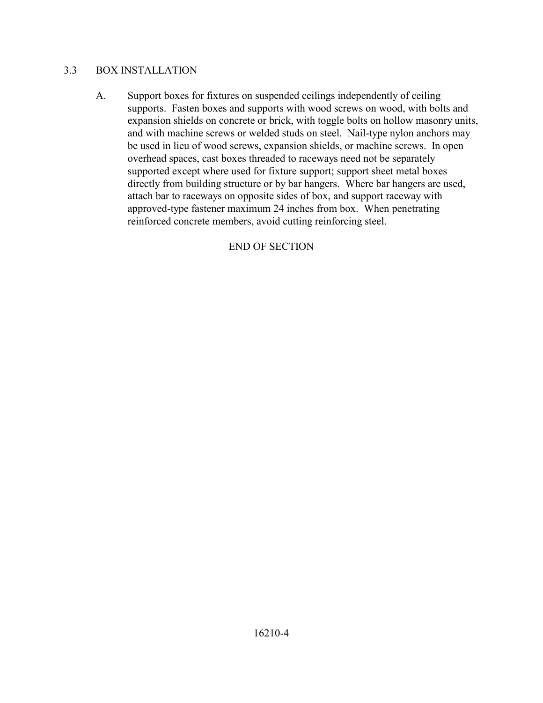#### 3.3 BOX INSTALLATION

A. Support boxes for fixtures on suspended ceilings independently of ceiling supports. Fasten boxes and supports with wood screws on wood, with bolts and expansion shields on concrete or brick, with toggle bolts on hollow masonry units, and with machine screws or welded studs on steel. Nail-type nylon anchors may be used in lieu of wood screws, expansion shields, or machine screws. In open overhead spaces, cast boxes threaded to raceways need not be separately supported except where used for fixture support; support sheet metal boxes directly from building structure or by bar hangers. Where bar hangers are used, attach bar to raceways on opposite sides of box, and support raceway with approved-type fastener maximum 24 inches from box. When penetrating reinforced concrete members, avoid cutting reinforcing steel.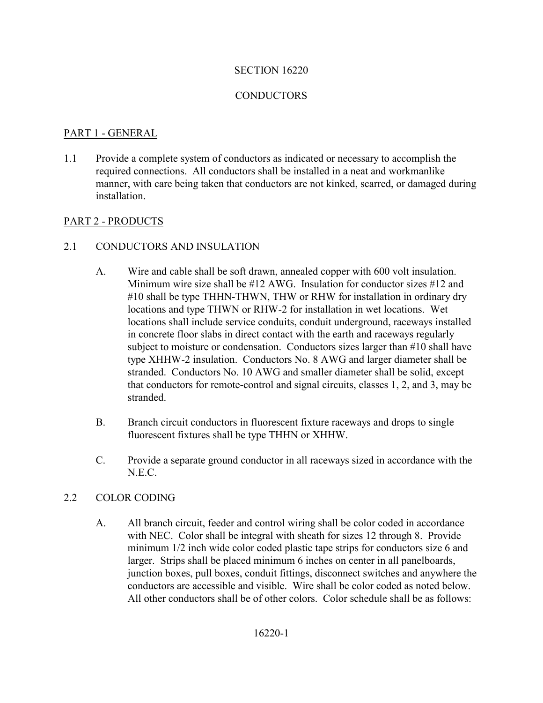#### **CONDUCTORS**

#### PART 1 - GENERAL

1.1 Provide a complete system of conductors as indicated or necessary to accomplish the required connections. All conductors shall be installed in a neat and workmanlike manner, with care being taken that conductors are not kinked, scarred, or damaged during installation.

#### PART 2 - PRODUCTS

- 2.1 CONDUCTORS AND INSULATION
	- A. Wire and cable shall be soft drawn, annealed copper with 600 volt insulation. Minimum wire size shall be #12 AWG. Insulation for conductor sizes #12 and #10 shall be type THHN-THWN, THW or RHW for installation in ordinary dry locations and type THWN or RHW-2 for installation in wet locations. Wet locations shall include service conduits, conduit underground, raceways installed in concrete floor slabs in direct contact with the earth and raceways regularly subject to moisture or condensation. Conductors sizes larger than #10 shall have type XHHW-2 insulation. Conductors No. 8 AWG and larger diameter shall be stranded. Conductors No. 10 AWG and smaller diameter shall be solid, except that conductors for remote-control and signal circuits, classes 1, 2, and 3, may be stranded.
	- B. Branch circuit conductors in fluorescent fixture raceways and drops to single fluorescent fixtures shall be type THHN or XHHW.
	- C. Provide a separate ground conductor in all raceways sized in accordance with the N.E.C.

#### 2.2 COLOR CODING

A. All branch circuit, feeder and control wiring shall be color coded in accordance with NEC. Color shall be integral with sheath for sizes 12 through 8. Provide minimum 1/2 inch wide color coded plastic tape strips for conductors size 6 and larger. Strips shall be placed minimum 6 inches on center in all panelboards, junction boxes, pull boxes, conduit fittings, disconnect switches and anywhere the conductors are accessible and visible. Wire shall be color coded as noted below. All other conductors shall be of other colors. Color schedule shall be as follows: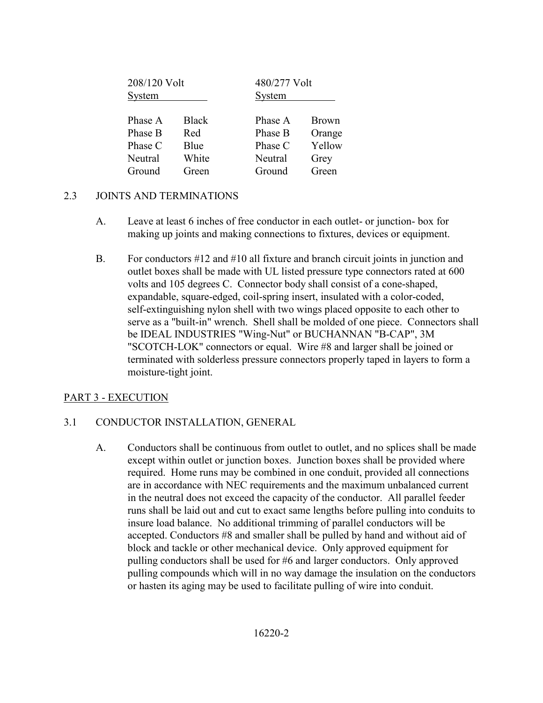| 208/120 Volt<br>System |              | 480/277 Volt<br>System |        |
|------------------------|--------------|------------------------|--------|
| Phase A                | <b>Black</b> | Phase A                | Brown  |
| Phase B                | Red          | Phase B                | Orange |
| Phase C                | Blue         | Phase C                | Yellow |
| Neutral                | White        | Neutral                | Grey   |
| Ground                 | Green        | Ground                 | Green  |

#### 2.3 JOINTS AND TERMINATIONS

- A. Leave at least 6 inches of free conductor in each outlet- or junction- box for making up joints and making connections to fixtures, devices or equipment.
- B. For conductors #12 and #10 all fixture and branch circuit joints in junction and outlet boxes shall be made with UL listed pressure type connectors rated at 600 volts and 105 degrees C. Connector body shall consist of a cone-shaped, expandable, square-edged, coil-spring insert, insulated with a color-coded, self-extinguishing nylon shell with two wings placed opposite to each other to serve as a "built-in" wrench. Shell shall be molded of one piece. Connectors shall be IDEAL INDUSTRIES "Wing-Nut" or BUCHANNAN "B-CAP", 3M "SCOTCH-LOK" connectors or equal. Wire #8 and larger shall be joined or terminated with solderless pressure connectors properly taped in layers to form a moisture-tight joint.

## PART 3 - EXECUTION

## 3.1 CONDUCTOR INSTALLATION, GENERAL

A. Conductors shall be continuous from outlet to outlet, and no splices shall be made except within outlet or junction boxes. Junction boxes shall be provided where required. Home runs may be combined in one conduit, provided all connections are in accordance with NEC requirements and the maximum unbalanced current in the neutral does not exceed the capacity of the conductor. All parallel feeder runs shall be laid out and cut to exact same lengths before pulling into conduits to insure load balance. No additional trimming of parallel conductors will be accepted. Conductors #8 and smaller shall be pulled by hand and without aid of block and tackle or other mechanical device. Only approved equipment for pulling conductors shall be used for #6 and larger conductors. Only approved pulling compounds which will in no way damage the insulation on the conductors or hasten its aging may be used to facilitate pulling of wire into conduit.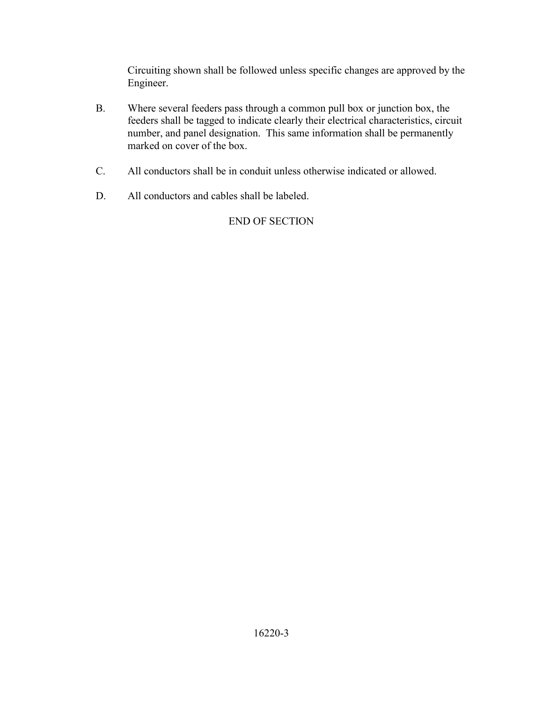Circuiting shown shall be followed unless specific changes are approved by the Engineer.

- B. Where several feeders pass through a common pull box or junction box, the feeders shall be tagged to indicate clearly their electrical characteristics, circuit number, and panel designation. This same information shall be permanently marked on cover of the box.
- C. All conductors shall be in conduit unless otherwise indicated or allowed.
- D. All conductors and cables shall be labeled.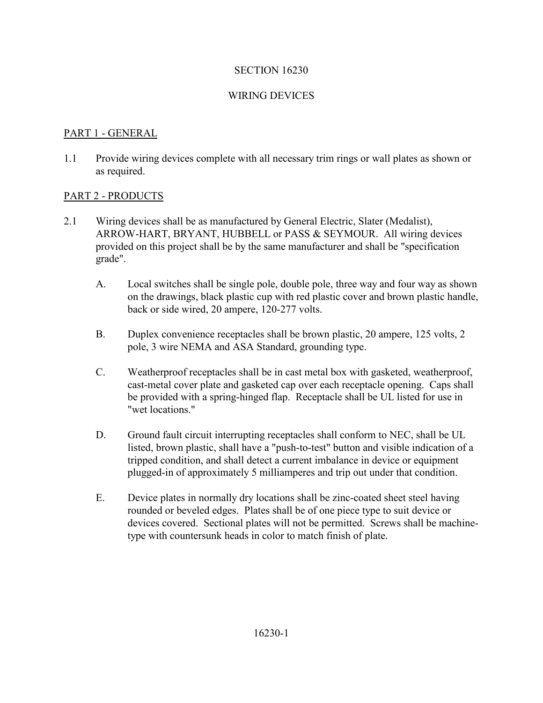#### WIRING DEVICES

### PART 1 - GENERAL

1.1 Provide wiring devices complete with all necessary trim rings or wall plates as shown or as required.

#### PART 2 - PRODUCTS

- 2.1 Wiring devices shall be as manufactured by General Electric, Slater (Medalist), ARROW-HART, BRYANT, HUBBELL or PASS & SEYMOUR. All wiring devices provided on this project shall be by the same manufacturer and shall be "specification grade".
	- A. Local switches shall be single pole, double pole, three way and four way as shown on the drawings, black plastic cup with red plastic cover and brown plastic handle, back or side wired, 20 ampere, 120-277 volts.
	- B. Duplex convenience receptacles shall be brown plastic, 20 ampere, 125 volts, 2 pole, 3 wire NEMA and ASA Standard, grounding type.
	- C. Weatherproof receptacles shall be in cast metal box with gasketed, weatherproof, cast-metal cover plate and gasketed cap over each receptacle opening. Caps shall be provided with a spring-hinged flap. Receptacle shall be UL listed for use in "wet locations."
	- D. Ground fault circuit interrupting receptacles shall conform to NEC, shall be UL listed, brown plastic, shall have a "push-to-test" button and visible indication of a tripped condition, and shall detect a current imbalance in device or equipment plugged-in of approximately 5 milliamperes and trip out under that condition.
	- E. Device plates in normally dry locations shall be zinc-coated sheet steel having rounded or beveled edges. Plates shall be of one piece type to suit device or devices covered. Sectional plates will not be permitted. Screws shall be machinetype with countersunk heads in color to match finish of plate.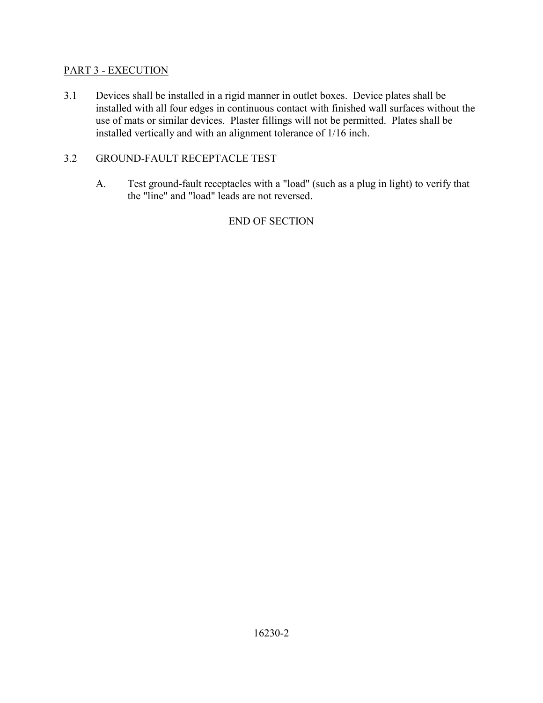## PART 3 - EXECUTION

3.1 Devices shall be installed in a rigid manner in outlet boxes. Device plates shall be installed with all four edges in continuous contact with finished wall surfaces without the use of mats or similar devices. Plaster fillings will not be permitted. Plates shall be installed vertically and with an alignment tolerance of 1/16 inch.

## 3.2 GROUND-FAULT RECEPTACLE TEST

A. Test ground-fault receptacles with a "load" (such as a plug in light) to verify that the "line" and "load" leads are not reversed.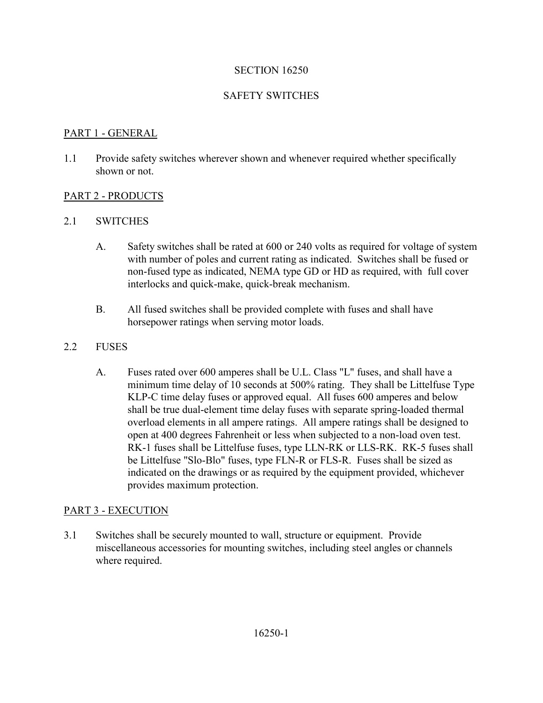### SAFETY SWITCHES

#### PART 1 - GENERAL

1.1 Provide safety switches wherever shown and whenever required whether specifically shown or not.

#### PART 2 - PRODUCTS

#### 2.1 SWITCHES

- A. Safety switches shall be rated at 600 or 240 volts as required for voltage of system with number of poles and current rating as indicated. Switches shall be fused or non-fused type as indicated, NEMA type GD or HD as required, with full cover interlocks and quick-make, quick-break mechanism.
- B. All fused switches shall be provided complete with fuses and shall have horsepower ratings when serving motor loads.

#### 2.2 FUSES

A. Fuses rated over 600 amperes shall be U.L. Class "L" fuses, and shall have a minimum time delay of 10 seconds at 500% rating. They shall be Littelfuse Type KLP-C time delay fuses or approved equal. All fuses 600 amperes and below shall be true dual-element time delay fuses with separate spring-loaded thermal overload elements in all ampere ratings. All ampere ratings shall be designed to open at 400 degrees Fahrenheit or less when subjected to a non-load oven test. RK-1 fuses shall be Littelfuse fuses, type LLN-RK or LLS-RK. RK-5 fuses shall be Littelfuse "Slo-Blo" fuses, type FLN-R or FLS-R. Fuses shall be sized as indicated on the drawings or as required by the equipment provided, whichever provides maximum protection.

#### PART 3 - EXECUTION

3.1 Switches shall be securely mounted to wall, structure or equipment. Provide miscellaneous accessories for mounting switches, including steel angles or channels where required.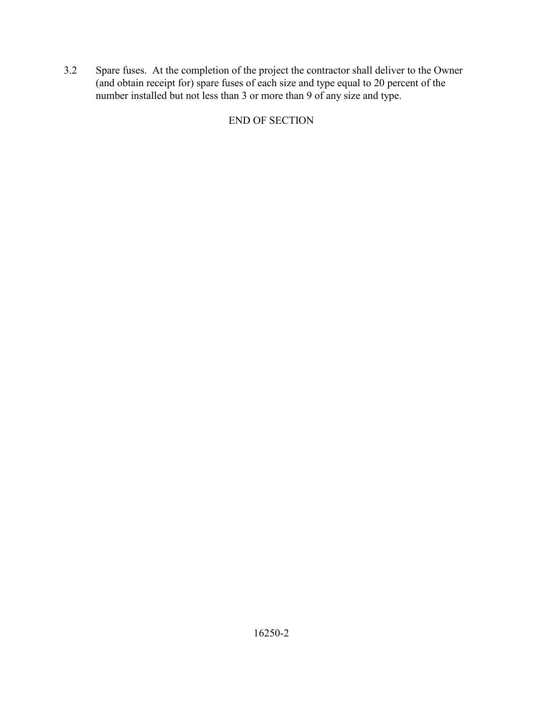3.2 Spare fuses. At the completion of the project the contractor shall deliver to the Owner (and obtain receipt for) spare fuses of each size and type equal to 20 percent of the number installed but not less than 3 or more than 9 of any size and type.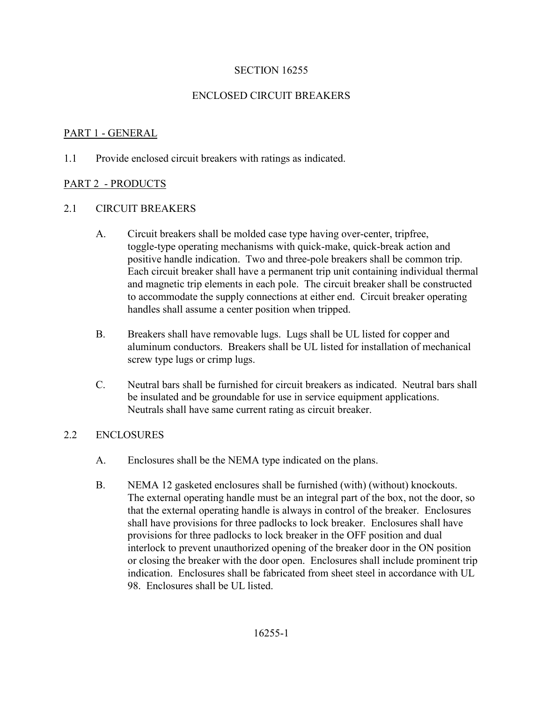## ENCLOSED CIRCUIT BREAKERS

# PART 1 - GENERAL

1.1 Provide enclosed circuit breakers with ratings as indicated.

## PART 2 - PRODUCTS

## 2.1 CIRCUIT BREAKERS

- A. Circuit breakers shall be molded case type having over-center, tripfree, toggle-type operating mechanisms with quick-make, quick-break action and positive handle indication. Two and three-pole breakers shall be common trip. Each circuit breaker shall have a permanent trip unit containing individual thermal and magnetic trip elements in each pole. The circuit breaker shall be constructed to accommodate the supply connections at either end. Circuit breaker operating handles shall assume a center position when tripped.
- B. Breakers shall have removable lugs. Lugs shall be UL listed for copper and aluminum conductors. Breakers shall be UL listed for installation of mechanical screw type lugs or crimp lugs.
- C. Neutral bars shall be furnished for circuit breakers as indicated. Neutral bars shall be insulated and be groundable for use in service equipment applications. Neutrals shall have same current rating as circuit breaker.

#### 2.2 ENCLOSURES

- A. Enclosures shall be the NEMA type indicated on the plans.
- B. NEMA 12 gasketed enclosures shall be furnished (with) (without) knockouts. The external operating handle must be an integral part of the box, not the door, so that the external operating handle is always in control of the breaker. Enclosures shall have provisions for three padlocks to lock breaker. Enclosures shall have provisions for three padlocks to lock breaker in the OFF position and dual interlock to prevent unauthorized opening of the breaker door in the ON position or closing the breaker with the door open. Enclosures shall include prominent trip indication. Enclosures shall be fabricated from sheet steel in accordance with UL 98. Enclosures shall be UL listed.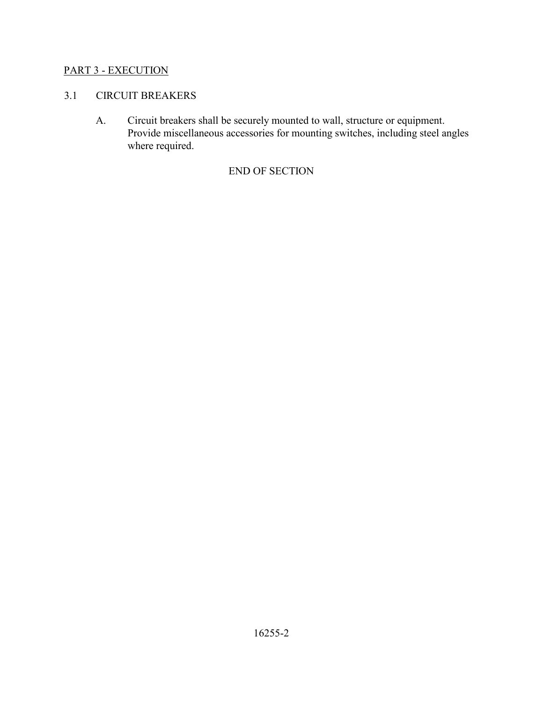## PART 3 - EXECUTION

## 3.1 CIRCUIT BREAKERS

A. Circuit breakers shall be securely mounted to wall, structure or equipment. Provide miscellaneous accessories for mounting switches, including steel angles where required.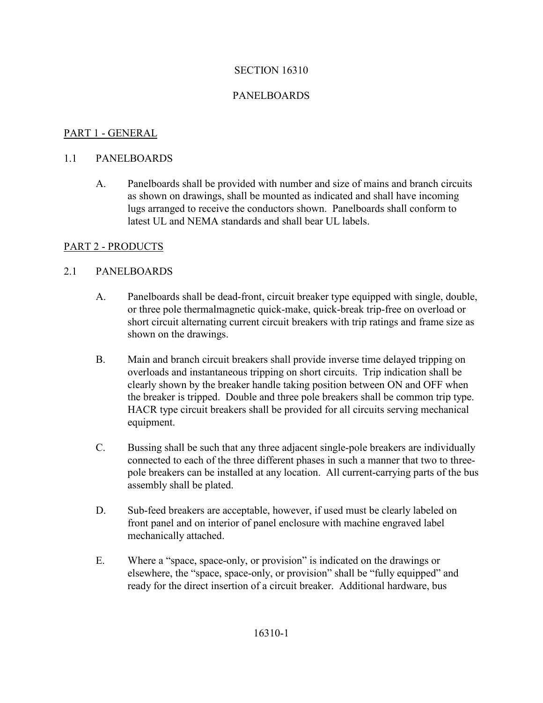## PANELBOARDS

## PART 1 - GENERAL

#### 1.1 PANELBOARDS

A. Panelboards shall be provided with number and size of mains and branch circuits as shown on drawings, shall be mounted as indicated and shall have incoming lugs arranged to receive the conductors shown. Panelboards shall conform to latest UL and NEMA standards and shall bear UL labels.

#### PART 2 - PRODUCTS

#### 2.1 PANELBOARDS

- A. Panelboards shall be dead-front, circuit breaker type equipped with single, double, or three pole thermalmagnetic quick-make, quick-break trip-free on overload or short circuit alternating current circuit breakers with trip ratings and frame size as shown on the drawings.
- B. Main and branch circuit breakers shall provide inverse time delayed tripping on overloads and instantaneous tripping on short circuits. Trip indication shall be clearly shown by the breaker handle taking position between ON and OFF when the breaker is tripped. Double and three pole breakers shall be common trip type. HACR type circuit breakers shall be provided for all circuits serving mechanical equipment.
- C. Bussing shall be such that any three adjacent single-pole breakers are individually connected to each of the three different phases in such a manner that two to threepole breakers can be installed at any location. All current-carrying parts of the bus assembly shall be plated.
- D. Sub-feed breakers are acceptable, however, if used must be clearly labeled on front panel and on interior of panel enclosure with machine engraved label mechanically attached.
- E. Where a "space, space-only, or provision" is indicated on the drawings or elsewhere, the "space, space-only, or provision" shall be "fully equipped" and ready for the direct insertion of a circuit breaker. Additional hardware, bus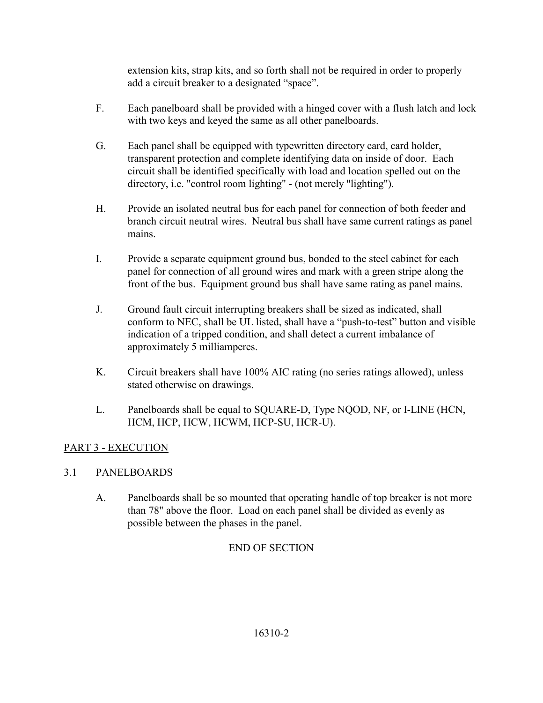extension kits, strap kits, and so forth shall not be required in order to properly add a circuit breaker to a designated "space".

- F. Each panelboard shall be provided with a hinged cover with a flush latch and lock with two keys and keyed the same as all other panelboards.
- G. Each panel shall be equipped with typewritten directory card, card holder, transparent protection and complete identifying data on inside of door. Each circuit shall be identified specifically with load and location spelled out on the directory, i.e. "control room lighting" - (not merely "lighting").
- H. Provide an isolated neutral bus for each panel for connection of both feeder and branch circuit neutral wires. Neutral bus shall have same current ratings as panel mains.
- I. Provide a separate equipment ground bus, bonded to the steel cabinet for each panel for connection of all ground wires and mark with a green stripe along the front of the bus. Equipment ground bus shall have same rating as panel mains.
- J. Ground fault circuit interrupting breakers shall be sized as indicated, shall conform to NEC, shall be UL listed, shall have a "push-to-test" button and visible indication of a tripped condition, and shall detect a current imbalance of approximately 5 milliamperes.
- K. Circuit breakers shall have 100% AIC rating (no series ratings allowed), unless stated otherwise on drawings.
- L. Panelboards shall be equal to SQUARE-D, Type NQOD, NF, or I-LINE (HCN, HCM, HCP, HCW, HCWM, HCP-SU, HCR-U).

# PART 3 - EXECUTION

## 3.1 PANELBOARDS

A. Panelboards shall be so mounted that operating handle of top breaker is not more than 78" above the floor. Load on each panel shall be divided as evenly as possible between the phases in the panel.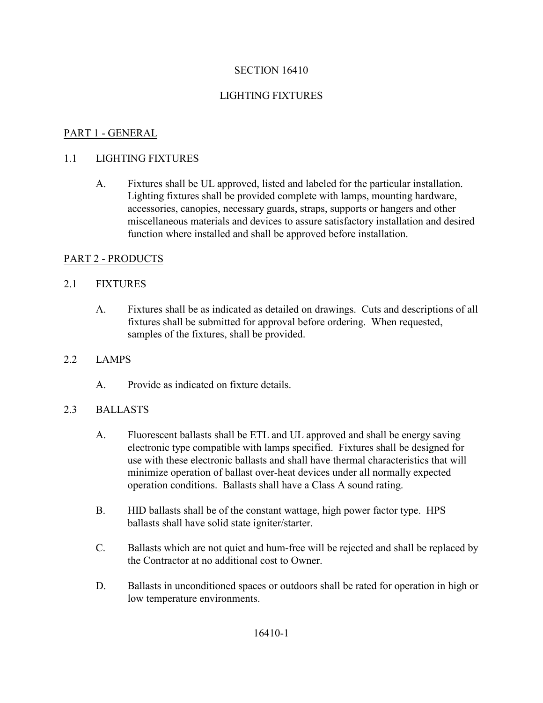## LIGHTING FIXTURES

## PART 1 - GENERAL

### 1.1 LIGHTING FIXTURES

A. Fixtures shall be UL approved, listed and labeled for the particular installation. Lighting fixtures shall be provided complete with lamps, mounting hardware, accessories, canopies, necessary guards, straps, supports or hangers and other miscellaneous materials and devices to assure satisfactory installation and desired function where installed and shall be approved before installation.

## PART 2 - PRODUCTS

## 2.1 FIXTURES

A. Fixtures shall be as indicated as detailed on drawings. Cuts and descriptions of all fixtures shall be submitted for approval before ordering. When requested, samples of the fixtures, shall be provided.

#### 2.2 LAMPS

A. Provide as indicated on fixture details.

#### 2.3 BALLASTS

- A. Fluorescent ballasts shall be ETL and UL approved and shall be energy saving electronic type compatible with lamps specified. Fixtures shall be designed for use with these electronic ballasts and shall have thermal characteristics that will minimize operation of ballast over-heat devices under all normally expected operation conditions. Ballasts shall have a Class A sound rating.
- B. HID ballasts shall be of the constant wattage, high power factor type. HPS ballasts shall have solid state igniter/starter.
- C. Ballasts which are not quiet and hum-free will be rejected and shall be replaced by the Contractor at no additional cost to Owner.
- D. Ballasts in unconditioned spaces or outdoors shall be rated for operation in high or low temperature environments.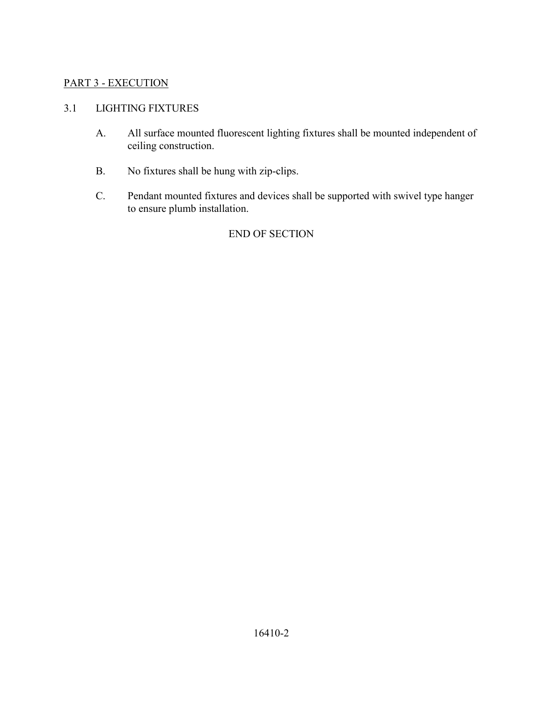# PART 3 - EXECUTION

## 3.1 LIGHTING FIXTURES

- A. All surface mounted fluorescent lighting fixtures shall be mounted independent of ceiling construction.
- B. No fixtures shall be hung with zip-clips.
- C. Pendant mounted fixtures and devices shall be supported with swivel type hanger to ensure plumb installation.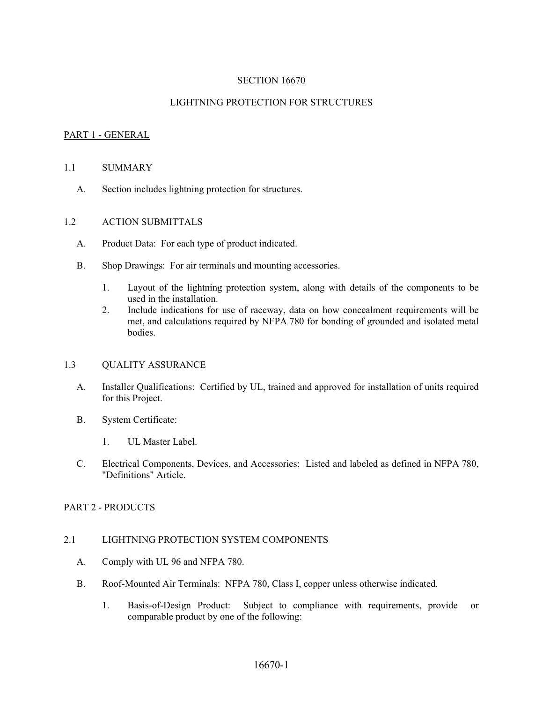#### LIGHTNING PROTECTION FOR STRUCTURES

#### PART 1 - GENERAL

#### 1.1 SUMMARY

A. Section includes lightning protection for structures.

#### 1.2 ACTION SUBMITTALS

- A. Product Data: For each type of product indicated.
- B. Shop Drawings: For air terminals and mounting accessories.
	- 1. Layout of the lightning protection system, along with details of the components to be used in the installation.
	- 2. Include indications for use of raceway, data on how concealment requirements will be met, and calculations required by NFPA 780 for bonding of grounded and isolated metal bodies.

#### 1.3 QUALITY ASSURANCE

- A. Installer Qualifications: Certified by UL, trained and approved for installation of units required for this Project.
- B. System Certificate:
	- 1. UL Master Label.
- C. Electrical Components, Devices, and Accessories: Listed and labeled as defined in NFPA 780, "Definitions" Article.

#### PART 2 - PRODUCTS

#### 2.1 LIGHTNING PROTECTION SYSTEM COMPONENTS

- A. Comply with UL 96 and NFPA 780.
- B. Roof-Mounted Air Terminals: NFPA 780, Class I, copper unless otherwise indicated.
	- 1. Basis-of-Design Product: Subject to compliance with requirements, provide or comparable product by one of the following: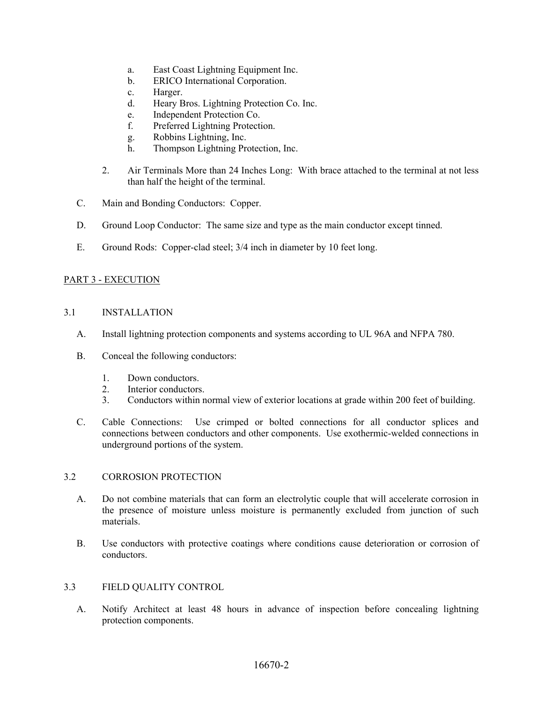- a. East Coast Lightning Equipment Inc.
- b. ERICO International Corporation.
- c. Harger.
- d. Heary Bros. Lightning Protection Co. Inc.
- e. Independent Protection Co.
- f. Preferred Lightning Protection.
- g. Robbins Lightning, Inc.
- h. Thompson Lightning Protection, Inc.
- 2. Air Terminals More than 24 Inches Long: With brace attached to the terminal at not less than half the height of the terminal.
- C. Main and Bonding Conductors: Copper.
- D. Ground Loop Conductor: The same size and type as the main conductor except tinned.
- E. Ground Rods: Copper-clad steel; 3/4 inch in diameter by 10 feet long.

#### PART 3 - EXECUTION

#### 3.1 INSTALLATION

- A. Install lightning protection components and systems according to UL 96A and NFPA 780.
- B. Conceal the following conductors:
	- 1. Down conductors.
	- 2. Interior conductors.
	- 3. Conductors within normal view of exterior locations at grade within 200 feet of building.
- C. Cable Connections: Use crimped or bolted connections for all conductor splices and connections between conductors and other components. Use exothermic-welded connections in underground portions of the system.

#### 3.2 CORROSION PROTECTION

- A. Do not combine materials that can form an electrolytic couple that will accelerate corrosion in the presence of moisture unless moisture is permanently excluded from junction of such materials.
- B. Use conductors with protective coatings where conditions cause deterioration or corrosion of conductors.

#### 3.3 FIELD QUALITY CONTROL

A. Notify Architect at least 48 hours in advance of inspection before concealing lightning protection components.